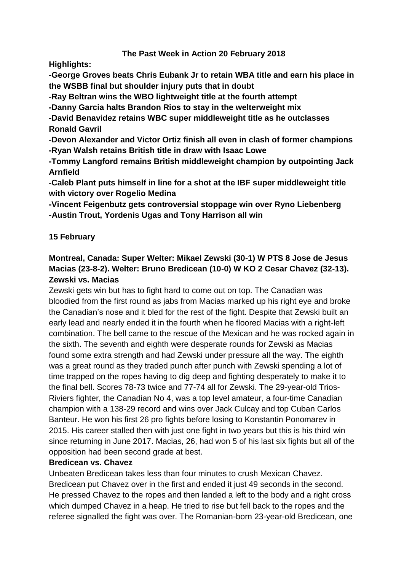# **The Past Week in Action 20 February 2018**

**Highlights:**

**-George Groves beats Chris Eubank Jr to retain WBA title and earn his place in the WSBB final but shoulder injury puts that in doubt**

**-Ray Beltran wins the WBO lightweight title at the fourth attempt**

**-Danny Garcia halts Brandon Rios to stay in the welterweight mix**

**-David Benavidez retains WBC super middleweight title as he outclasses Ronald Gavril**

**-Devon Alexander and Victor Ortiz finish all even in clash of former champions -Ryan Walsh retains British title in draw with Isaac Lowe**

**-Tommy Langford remains British middleweight champion by outpointing Jack Arnfield**

**-Caleb Plant puts himself in line for a shot at the IBF super middleweight title with victory over Rogelio Medina**

**-Vincent Feigenbutz gets controversial stoppage win over Ryno Liebenberg -Austin Trout, Yordenis Ugas and Tony Harrison all win**

# **15 February**

# **Montreal, Canada: Super Welter: Mikael Zewski (30-1) W PTS 8 Jose de Jesus Macias (23-8-2). Welter: Bruno Bredicean (10-0) W KO 2 Cesar Chavez (32-13). Zewski vs. Macias**

Zewski gets win but has to fight hard to come out on top. The Canadian was bloodied from the first round as jabs from Macias marked up his right eye and broke the Canadian's nose and it bled for the rest of the fight. Despite that Zewski built an early lead and nearly ended it in the fourth when he floored Macias with a right-left combination. The bell came to the rescue of the Mexican and he was rocked again in the sixth. The seventh and eighth were desperate rounds for Zewski as Macias found some extra strength and had Zewski under pressure all the way. The eighth was a great round as they traded punch after punch with Zewski spending a lot of time trapped on the ropes having to dig deep and fighting desperately to make it to the final bell. Scores 78-73 twice and 77-74 all for Zewski. The 29-year-old Trios-Riviers fighter, the Canadian No 4, was a top level amateur, a four-time Canadian champion with a 138-29 record and wins over Jack Culcay and top Cuban Carlos Banteur. He won his first 26 pro fights before losing to Konstantin Ponomarev in 2015. His career stalled then with just one fight in two years but this is his third win since returning in June 2017. Macias, 26, had won 5 of his last six fights but all of the opposition had been second grade at best.

### **Bredicean vs. Chavez**

Unbeaten Bredicean takes less than four minutes to crush Mexican Chavez. Bredicean put Chavez over in the first and ended it just 49 seconds in the second. He pressed Chavez to the ropes and then landed a left to the body and a right cross which dumped Chavez in a heap. He tried to rise but fell back to the ropes and the referee signalled the fight was over. The Romanian-born 23-year-old Bredicean, one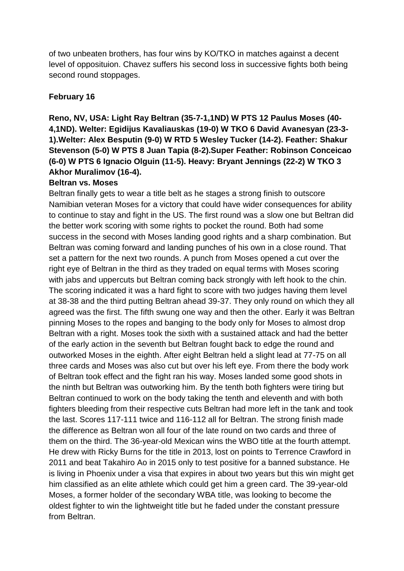of two unbeaten brothers, has four wins by KO/TKO in matches against a decent level of opposituion. Chavez suffers his second loss in successive fights both being second round stoppages.

# **February 16**

# **Reno, NV, USA: Light Ray Beltran (35-7-1,1ND) W PTS 12 Paulus Moses (40- 4,1ND). Welter: Egidijus Kavaliauskas (19-0) W TKO 6 David Avanesyan (23-3- 1).Welter: Alex Besputin (9-0) W RTD 5 Wesley Tucker (14-2). Feather: Shakur Stevenson (5-0) W PTS 8 Juan Tapia (8-2).Super Feather: Robinson Conceicao (6-0) W PTS 6 Ignacio Olguin (11-5). Heavy: Bryant Jennings (22-2) W TKO 3 Akhor Muralimov (16-4).**

#### **Beltran vs. Moses**

Beltran finally gets to wear a title belt as he stages a strong finish to outscore Namibian veteran Moses for a victory that could have wider consequences for ability to continue to stay and fight in the US. The first round was a slow one but Beltran did the better work scoring with some rights to pocket the round. Both had some success in the second with Moses landing good rights and a sharp combination. But Beltran was coming forward and landing punches of his own in a close round. That set a pattern for the next two rounds. A punch from Moses opened a cut over the right eye of Beltran in the third as they traded on equal terms with Moses scoring with jabs and uppercuts but Beltran coming back strongly with left hook to the chin. The scoring indicated it was a hard fight to score with two judges having them level at 38-38 and the third putting Beltran ahead 39-37. They only round on which they all agreed was the first. The fifth swung one way and then the other. Early it was Beltran pinning Moses to the ropes and banging to the body only for Moses to almost drop Beltran with a right. Moses took the sixth with a sustained attack and had the better of the early action in the seventh but Beltran fought back to edge the round and outworked Moses in the eighth. After eight Beltran held a slight lead at 77-75 on all three cards and Moses was also cut but over his left eye. From there the body work of Beltran took effect and the fight ran his way. Moses landed some good shots in the ninth but Beltran was outworking him. By the tenth both fighters were tiring but Beltran continued to work on the body taking the tenth and eleventh and with both fighters bleeding from their respective cuts Beltran had more left in the tank and took the last. Scores 117-111 twice and 116-112 all for Beltran. The strong finish made the difference as Beltran won all four of the late round on two cards and three of them on the third. The 36-year-old Mexican wins the WBO title at the fourth attempt. He drew with Ricky Burns for the title in 2013, lost on points to Terrence Crawford in 2011 and beat Takahiro Ao in 2015 only to test positive for a banned substance. He is living in Phoenix under a visa that expires in about two years but this win might get him classified as an elite athlete which could get him a green card. The 39-year-old Moses, a former holder of the secondary WBA title, was looking to become the oldest fighter to win the lightweight title but he faded under the constant pressure from Beltran.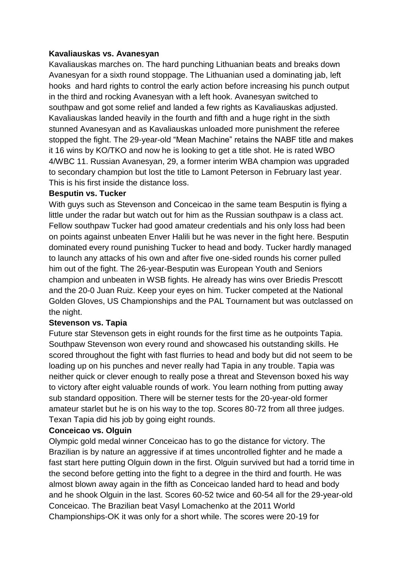#### **Kavaliauskas vs. Avanesyan**

Kavaliauskas marches on. The hard punching Lithuanian beats and breaks down Avanesyan for a sixth round stoppage. The Lithuanian used a dominating jab, left hooks and hard rights to control the early action before increasing his punch output in the third and rocking Avanesyan with a left hook. Avanesyan switched to southpaw and got some relief and landed a few rights as Kavaliauskas adjusted. Kavaliauskas landed heavily in the fourth and fifth and a huge right in the sixth stunned Avanesyan and as Kavaliauskas unloaded more punishment the referee stopped the fight. The 29-year-old "Mean Machine" retains the NABF title and makes it 16 wins by KO/TKO and now he is looking to get a title shot. He is rated WBO 4/WBC 11. Russian Avanesyan, 29, a former interim WBA champion was upgraded to secondary champion but lost the title to Lamont Peterson in February last year. This is his first inside the distance loss.

#### **Besputin vs. Tucker**

With guys such as Stevenson and Conceicao in the same team Besputin is flying a little under the radar but watch out for him as the Russian southpaw is a class act. Fellow southpaw Tucker had good amateur credentials and his only loss had been on points against unbeaten Enver Halili but he was never in the fight here. Besputin dominated every round punishing Tucker to head and body. Tucker hardly managed to launch any attacks of his own and after five one-sided rounds his corner pulled him out of the fight. The 26-year-Besputin was European Youth and Seniors champion and unbeaten in WSB fights. He already has wins over Briedis Prescott and the 20-0 Juan Ruiz. Keep your eyes on him. Tucker competed at the National Golden Gloves, US Championships and the PAL Tournament but was outclassed on the night.

### **Stevenson vs. Tapia**

Future star Stevenson gets in eight rounds for the first time as he outpoints Tapia. Southpaw Stevenson won every round and showcased his outstanding skills. He scored throughout the fight with fast flurries to head and body but did not seem to be loading up on his punches and never really had Tapia in any trouble. Tapia was neither quick or clever enough to really pose a threat and Stevenson boxed his way to victory after eight valuable rounds of work. You learn nothing from putting away sub standard opposition. There will be sterner tests for the 20-year-old former amateur starlet but he is on his way to the top. Scores 80-72 from all three judges. Texan Tapia did his job by going eight rounds.

#### **Conceicao vs. Olguin**

Olympic gold medal winner Conceicao has to go the distance for victory. The Brazilian is by nature an aggressive if at times uncontrolled fighter and he made a fast start here putting Olguin down in the first. Olguin survived but had a torrid time in the second before getting into the fight to a degree in the third and fourth. He was almost blown away again in the fifth as Conceicao landed hard to head and body and he shook Olguin in the last. Scores 60-52 twice and 60-54 all for the 29-year-old Conceicao. The Brazilian beat Vasyl Lomachenko at the 2011 World Championships-OK it was only for a short while. The scores were 20-19 for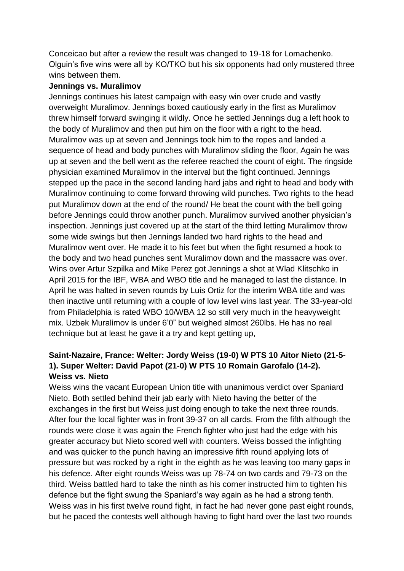Conceicao but after a review the result was changed to 19-18 for Lomachenko. Olguin's five wins were all by KO/TKO but his six opponents had only mustered three wins between them.

#### **Jennings vs. Muralimov**

Jennings continues his latest campaign with easy win over crude and vastly overweight Muralimov. Jennings boxed cautiously early in the first as Muralimov threw himself forward swinging it wildly. Once he settled Jennings dug a left hook to the body of Muralimov and then put him on the floor with a right to the head. Muralimov was up at seven and Jennings took him to the ropes and landed a sequence of head and body punches with Muralimov sliding the floor, Again he was up at seven and the bell went as the referee reached the count of eight. The ringside physician examined Muralimov in the interval but the fight continued. Jennings stepped up the pace in the second landing hard jabs and right to head and body with Muralimov continuing to come forward throwing wild punches. Two rights to the head put Muralimov down at the end of the round/ He beat the count with the bell going before Jennings could throw another punch. Muralimov survived another physician's inspection. Jennings just covered up at the start of the third letting Muralimov throw some wide swings but then Jennings landed two hard rights to the head and Muralimov went over. He made it to his feet but when the fight resumed a hook to the body and two head punches sent Muralimov down and the massacre was over. Wins over Artur Szpilka and Mike Perez got Jennings a shot at Wlad Klitschko in April 2015 for the IBF, WBA and WBO title and he managed to last the distance. In April he was halted in seven rounds by Luis Ortiz for the interim WBA title and was then inactive until returning with a couple of low level wins last year. The 33-year-old from Philadelphia is rated WBO 10/WBA 12 so still very much in the heavyweight mix. Uzbek Muralimov is under 6'0" but weighed almost 260lbs. He has no real technique but at least he gave it a try and kept getting up,

# **Saint-Nazaire, France: Welter: Jordy Weiss (19-0) W PTS 10 Aitor Nieto (21-5- 1). Super Welter: David Papot (21-0) W PTS 10 Romain Garofalo (14-2). Weiss vs. Nieto**

Weiss wins the vacant European Union title with unanimous verdict over Spaniard Nieto. Both settled behind their jab early with Nieto having the better of the exchanges in the first but Weiss just doing enough to take the next three rounds. After four the local fighter was in front 39-37 on all cards. From the fifth although the rounds were close it was again the French fighter who just had the edge with his greater accuracy but Nieto scored well with counters. Weiss bossed the infighting and was quicker to the punch having an impressive fifth round applying lots of pressure but was rocked by a right in the eighth as he was leaving too many gaps in his defence. After eight rounds Weiss was up 78-74 on two cards and 79-73 on the third. Weiss battled hard to take the ninth as his corner instructed him to tighten his defence but the fight swung the Spaniard's way again as he had a strong tenth. Weiss was in his first twelve round fight, in fact he had never gone past eight rounds, but he paced the contests well although having to fight hard over the last two rounds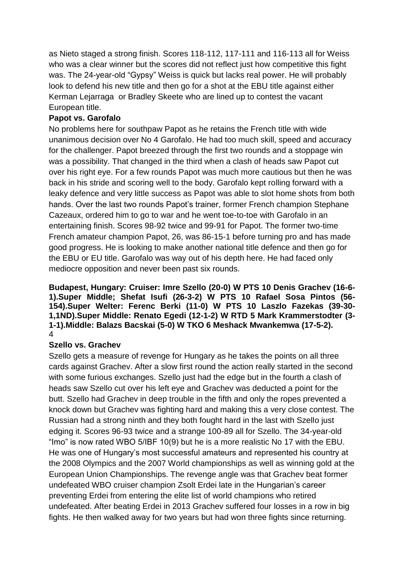as Nieto staged a strong finish. Scores 118-112, 117-111 and 116-113 all for Weiss who was a clear winner but the scores did not reflect just how competitive this fight was. The 24-year-old "Gypsy" Weiss is quick but lacks real power. He will probably look to defend his new title and then go for a shot at the EBU title against either Kerman Lejarraga or Bradley Skeete who are lined up to contest the vacant European title.

# **Papot vs. Garofalo**

No problems here for southpaw Papot as he retains the French title with wide unanimous decision over No 4 Garofalo. He had too much skill, speed and accuracy for the challenger. Papot breezed through the first two rounds and a stoppage win was a possibility. That changed in the third when a clash of heads saw Papot cut over his right eye. For a few rounds Papot was much more cautious but then he was back in his stride and scoring well to the body. Garofalo kept rolling forward with a leaky defence and very little success as Papot was able to slot home shots from both hands. Over the last two rounds Papot's trainer, former French champion Stephane Cazeaux, ordered him to go to war and he went toe-to-toe with Garofalo in an entertaining finish. Scores 98-92 twice and 99-91 for Papot. The former two-time French amateur champion Papot, 26, was 86-15-1 before turning pro and has made good progress. He is looking to make another national title defence and then go for the EBU or EU title. Garofalo was way out of his depth here. He had faced only mediocre opposition and never been past six rounds.

**Budapest, Hungary: Cruiser: Imre Szello (20-0) W PTS 10 Denis Grachev (16-6- 1).Super Middle; Shefat Isufi (26-3-2) W PTS 10 Rafael Sosa Pintos (56- 154).Super Welter: Ferenc Berki (11-0) W PTS 10 Laszlo Fazekas (39-30- 1,1ND).Super Middle: Renato Egedi (12-1-2) W RTD 5 Mark Krammerstodter (3- 1-1).Middle: Balazs Bacskai (5-0) W TKO 6 Meshack Mwankemwa (17-5-2).** 4

### **Szello vs. Grachev**

Szello gets a measure of revenge for Hungary as he takes the points on all three cards against Grachev. After a slow first round the action really started in the second with some furious exchanges. Szello just had the edge but in the fourth a clash of heads saw Szello cut over his left eye and Grachev was deducted a point for the butt. Szello had Grachev in deep trouble in the fifth and only the ropes prevented a knock down but Grachev was fighting hard and making this a very close contest. The Russian had a strong ninth and they both fought hard in the last with Szello just edging it. Scores 96-93 twice and a strange 100-89 all for Szello. The 34-year-old "Imo" is now rated WBO 5/IBF 10(9) but he is a more realistic No 17 with the EBU. He was one of Hungary's most successful amateurs and represented his country at the 2008 Olympics and the 2007 World championships as well as winning gold at the European Union Championships. The revenge angle was that Grachev beat former undefeated WBO cruiser champion Zsolt Erdei late in the Hungarian's career preventing Erdei from entering the elite list of world champions who retired undefeated. After beating Erdei in 2013 Grachev suffered four losses in a row in big fights. He then walked away for two years but had won three fights since returning.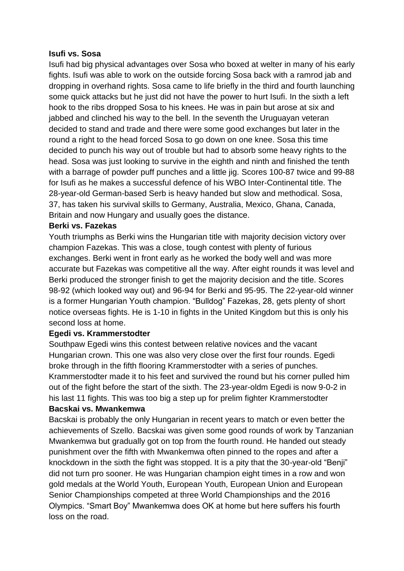#### **Isufi vs. Sosa**

Isufi had big physical advantages over Sosa who boxed at welter in many of his early fights. Isufi was able to work on the outside forcing Sosa back with a ramrod jab and dropping in overhand rights. Sosa came to life briefly in the third and fourth launching some quick attacks but he just did not have the power to hurt Isufi. In the sixth a left hook to the ribs dropped Sosa to his knees. He was in pain but arose at six and jabbed and clinched his way to the bell. In the seventh the Uruguayan veteran decided to stand and trade and there were some good exchanges but later in the round a right to the head forced Sosa to go down on one knee. Sosa this time decided to punch his way out of trouble but had to absorb some heavy rights to the head. Sosa was just looking to survive in the eighth and ninth and finished the tenth with a barrage of powder puff punches and a little jig. Scores 100-87 twice and 99-88 for Isufi as he makes a successful defence of his WBO Inter-Continental title. The 28-year-old German-based Serb is heavy handed but slow and methodical. Sosa, 37, has taken his survival skills to Germany, Australia, Mexico, Ghana, Canada, Britain and now Hungary and usually goes the distance.

#### **Berki vs. Fazekas**

Youth triumphs as Berki wins the Hungarian title with majority decision victory over champion Fazekas. This was a close, tough contest with plenty of furious exchanges. Berki went in front early as he worked the body well and was more accurate but Fazekas was competitive all the way. After eight rounds it was level and Berki produced the stronger finish to get the majority decision and the title. Scores 98-92 (which looked way out) and 96-94 for Berki and 95-95. The 22-year-old winner is a former Hungarian Youth champion. "Bulldog" Fazekas, 28, gets plenty of short notice overseas fights. He is 1-10 in fights in the United Kingdom but this is only his second loss at home.

### **Egedi vs. Krammerstodter**

Southpaw Egedi wins this contest between relative novices and the vacant Hungarian crown. This one was also very close over the first four rounds. Egedi broke through in the fifth flooring Krammerstodter with a series of punches. Krammerstodter made it to his feet and survived the round but his corner pulled him out of the fight before the start of the sixth. The 23-year-oldm Egedi is now 9-0-2 in his last 11 fights. This was too big a step up for prelim fighter Krammerstodter **Bacskai vs. Mwankemwa**

# Bacskai is probably the only Hungarian in recent years to match or even better the achievements of Szello. Bacskai was given some good rounds of work by Tanzanian Mwankemwa but gradually got on top from the fourth round. He handed out steady punishment over the fifth with Mwankemwa often pinned to the ropes and after a knockdown in the sixth the fight was stopped. It is a pity that the 30-year-old "Benji" did not turn pro sooner. He was Hungarian champion eight times in a row and won gold medals at the World Youth, European Youth, European Union and European Senior Championships competed at three World Championships and the 2016

Olympics. "Smart Boy" Mwankemwa does OK at home but here suffers his fourth loss on the road.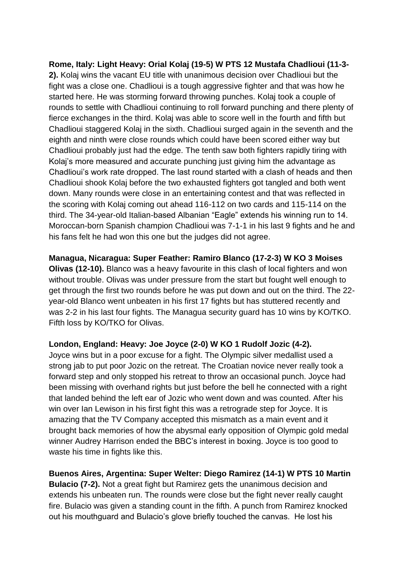**Rome, Italy: Light Heavy: Orial Kolaj (19-5) W PTS 12 Mustafa Chadlioui (11-3- 2).** Kolaj wins the vacant EU title with unanimous decision over Chadlioui but the fight was a close one. Chadlioui is a tough aggressive fighter and that was how he started here. He was storming forward throwing punches. Kolaj took a couple of rounds to settle with Chadlioui continuing to roll forward punching and there plenty of fierce exchanges in the third. Kolaj was able to score well in the fourth and fifth but Chadlioui staggered Kolaj in the sixth. Chadlioui surged again in the seventh and the eighth and ninth were close rounds which could have been scored either way but Chadlioui probably just had the edge. The tenth saw both fighters rapidly tiring with Kolaj's more measured and accurate punching just giving him the advantage as Chadlioui's work rate dropped. The last round started with a clash of heads and then Chadlioui shook Kolaj before the two exhausted fighters got tangled and both went down. Many rounds were close in an entertaining contest and that was reflected in the scoring with Kolaj coming out ahead 116-112 on two cards and 115-114 on the third. The 34-year-old Italian-based Albanian "Eagle" extends his winning run to 14. Moroccan-born Spanish champion Chadlioui was 7-1-1 in his last 9 fights and he and his fans felt he had won this one but the judges did not agree.

**Managua, Nicaragua: Super Feather: Ramiro Blanco (17-2-3) W KO 3 Moises Olivas (12-10).** Blanco was a heavy favourite in this clash of local fighters and won without trouble. Olivas was under pressure from the start but fought well enough to get through the first two rounds before he was put down and out on the third. The 22 year-old Blanco went unbeaten in his first 17 fights but has stuttered recently and was 2-2 in his last four fights. The Managua security guard has 10 wins by KO/TKO. Fifth loss by KO/TKO for Olivas.

#### **London, England: Heavy: Joe Joyce (2-0) W KO 1 Rudolf Jozic (4-2).**

Joyce wins but in a poor excuse for a fight. The Olympic silver medallist used a strong jab to put poor Jozic on the retreat. The Croatian novice never really took a forward step and only stopped his retreat to throw an occasional punch. Joyce had been missing with overhand rights but just before the bell he connected with a right that landed behind the left ear of Jozic who went down and was counted. After his win over Ian Lewison in his first fight this was a retrograde step for Joyce. It is amazing that the TV Company accepted this mismatch as a main event and it brought back memories of how the abysmal early opposition of Olympic gold medal winner Audrey Harrison ended the BBC's interest in boxing. Joyce is too good to waste his time in fights like this.

**Buenos Aires, Argentina: Super Welter: Diego Ramirez (14-1) W PTS 10 Martin Bulacio (7-2).** Not a great fight but Ramirez gets the unanimous decision and extends his unbeaten run. The rounds were close but the fight never really caught fire. Bulacio was given a standing count in the fifth. A punch from Ramirez knocked out his mouthguard and Bulacio's glove briefly touched the canvas. He lost his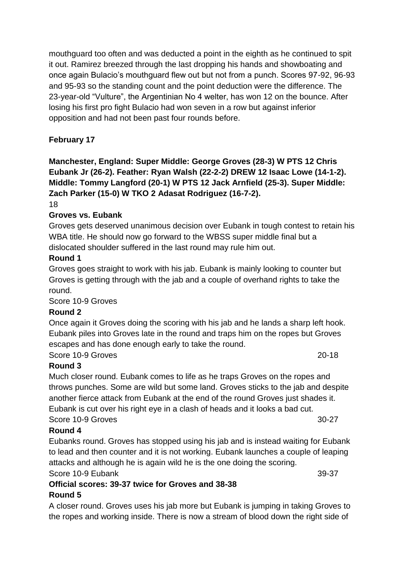mouthguard too often and was deducted a point in the eighth as he continued to spit it out. Ramirez breezed through the last dropping his hands and showboating and once again Bulacio's mouthguard flew out but not from a punch. Scores 97-92, 96-93 and 95-93 so the standing count and the point deduction were the difference. The 23-year-old "Vulture", the Argentinian No 4 welter, has won 12 on the bounce. After losing his first pro fight Bulacio had won seven in a row but against inferior opposition and had not been past four rounds before.

# **February 17**

**Manchester, England: Super Middle: George Groves (28-3) W PTS 12 Chris Eubank Jr (26-2). Feather: Ryan Walsh (22-2-2) DREW 12 Isaac Lowe (14-1-2). Middle: Tommy Langford (20-1) W PTS 12 Jack Arnfield (25-3). Super Middle: Zach Parker (15-0) W TKO 2 Adasat Rodriguez (16-7-2).**

18

# **Groves vs. Eubank**

Groves gets deserved unanimous decision over Eubank in tough contest to retain his WBA title. He should now go forward to the WBSS super middle final but a dislocated shoulder suffered in the last round may rule him out.

### **Round 1**

Groves goes straight to work with his jab. Eubank is mainly looking to counter but Groves is getting through with the jab and a couple of overhand rights to take the round.

### Score 10-9 Groves

### **Round 2**

Once again it Groves doing the scoring with his jab and he lands a sharp left hook. Eubank piles into Groves late in the round and traps him on the ropes but Groves escapes and has done enough early to take the round.

# Score 10-9 Groves 20-18

# **Round 3**

Much closer round. Eubank comes to life as he traps Groves on the ropes and throws punches. Some are wild but some land. Groves sticks to the jab and despite another fierce attack from Eubank at the end of the round Groves just shades it. Eubank is cut over his right eye in a clash of heads and it looks a bad cut. Score 10-9 Groves 30-27

# **Round 4**

Eubanks round. Groves has stopped using his jab and is instead waiting for Eubank to lead and then counter and it is not working. Eubank launches a couple of leaping attacks and although he is again wild he is the one doing the scoring.

Score 10-9 Eubank 39-37

# **Official scores: 39-37 twice for Groves and 38-38 Round 5**

A closer round. Groves uses his jab more but Eubank is jumping in taking Groves to the ropes and working inside. There is now a stream of blood down the right side of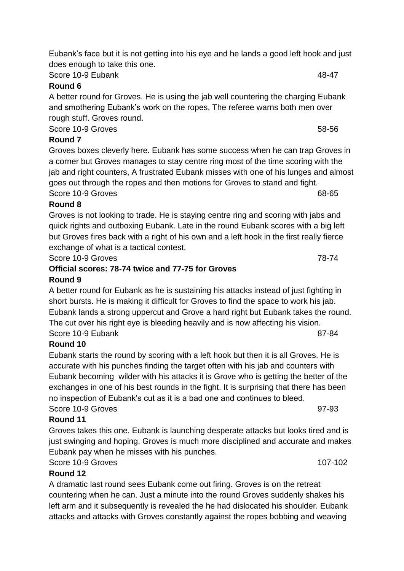Score 10-9 Eubank 48-47

# **Round 6**

A better round for Groves. He is using the jab well countering the charging Eubank and smothering Eubank's work on the ropes, The referee warns both men over rough stuff. Groves round.

Score 10-9 Groves 58-56

# **Round 7**

Groves boxes cleverly here. Eubank has some success when he can trap Groves in a corner but Groves manages to stay centre ring most of the time scoring with the jab and right counters, A frustrated Eubank misses with one of his lunges and almost goes out through the ropes and then motions for Groves to stand and fight. Score 10-9 Groves 68-65

# **Round 8**

Groves is not looking to trade. He is staying centre ring and scoring with jabs and quick rights and outboxing Eubank. Late in the round Eubank scores with a big left but Groves fires back with a right of his own and a left hook in the first really fierce exchange of what is a tactical contest.

Score 10-9 Groves 78-74

# **Official scores: 78-74 twice and 77-75 for Groves Round 9**

A better round for Eubank as he is sustaining his attacks instead of just fighting in short bursts. He is making it difficult for Groves to find the space to work his jab. Eubank lands a strong uppercut and Grove a hard right but Eubank takes the round. The cut over his right eye is bleeding heavily and is now affecting his vision. Score 10-9 Eubank 87-84

# **Round 10**

Eubank starts the round by scoring with a left hook but then it is all Groves. He is accurate with his punches finding the target often with his jab and counters with Eubank becoming wilder with his attacks it is Grove who is getting the better of the exchanges in one of his best rounds in the fight. It is surprising that there has been no inspection of Eubank's cut as it is a bad one and continues to bleed. Score 10-9 Groves 97-93

# **Round 11**

Groves takes this one. Eubank is launching desperate attacks but looks tired and is just swinging and hoping. Groves is much more disciplined and accurate and makes Eubank pay when he misses with his punches.

# Score 10-9 Groves 2008 and 2009 107-102

# **Round 12**

A dramatic last round sees Eubank come out firing. Groves is on the retreat countering when he can. Just a minute into the round Groves suddenly shakes his left arm and it subsequently is revealed the he had dislocated his shoulder. Eubank attacks and attacks with Groves constantly against the ropes bobbing and weaving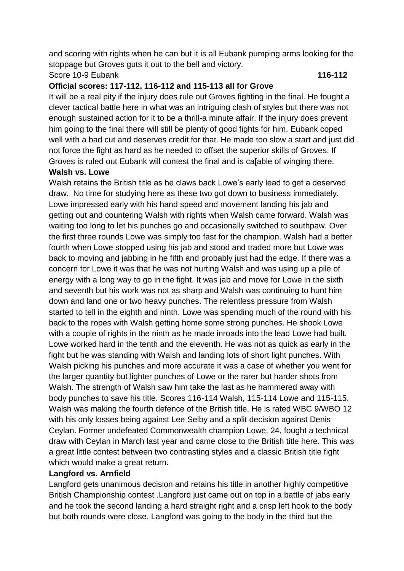and scoring with rights when he can but it is all Eubank pumping arms looking for the stoppage but Groves guts it out to the bell and victory. Score 10-9 Eubank **116-112**

# **Official scores: 117-112, 116-112 and 115-113 all for Grove**

It will be a real pity if the injury does rule out Groves fighting in the final. He fought a clever tactical battle here in what was an intriguing clash of styles but there was not enough sustained action for it to be a thrill-a minute affair. If the injury does prevent him going to the final there will still be plenty of good fights for him. Eubank coped well with a bad cut and deserves credit for that. He made too slow a start and just did not force the fight as hard as he needed to offset the superior skills of Groves. If Groves is ruled out Eubank will contest the final and is ca[able of winging there.

### **Walsh vs. Lowe**

Walsh retains the British title as he claws back Lowe's early lead to get a deserved draw. No time for studying here as these two got down to business immediately. Lowe impressed early with his hand speed and movement landing his jab and getting out and countering Walsh with rights when Walsh came forward. Walsh was waiting too long to let his punches go and occasionally switched to southpaw. Over the first three rounds Lowe was simply too fast for the champion. Walsh had a better fourth when Lowe stopped using his jab and stood and traded more but Lowe was back to moving and jabbing in he fifth and probably just had the edge. If there was a concern for Lowe it was that he was not hurting Walsh and was using up a pile of energy with a long way to go in the fight. It was jab and move for Lowe in the sixth and seventh but his work was not as sharp and Walsh was continuing to hunt him down and land one or two heavy punches. The relentless pressure from Walsh started to tell in the eighth and ninth. Lowe was spending much of the round with his back to the ropes with Walsh getting home some strong punches. He shook Lowe with a couple of rights in the ninth as he made inroads into the lead Lowe had built. Lowe worked hard in the tenth and the eleventh. He was not as quick as early in the fight but he was standing with Walsh and landing lots of short light punches. With Walsh picking his punches and more accurate it was a case of whether you went for the larger quantity but lighter punches of Lowe or the rarer but harder shots from Walsh. The strength of Walsh saw him take the last as he hammered away with body punches to save his title. Scores 116-114 Walsh, 115-114 Lowe and 115-115. Walsh was making the fourth defence of the British title. He is rated WBC 9/WBO 12 with his only losses being against Lee Selby and a split decision against Denis Ceylan. Former undefeated Commonwealth champion Lowe, 24, fought a technical draw with Ceylan in March last year and came close to the British title here. This was a great little contest between two contrasting styles and a classic British title fight which would make a great return.

# **Langford vs. Arnfield**

Langford gets unanimous decision and retains his title in another highly competitive British Championship contest .Langford just came out on top in a battle of jabs early and he took the second landing a hard straight right and a crisp left hook to the body but both rounds were close. Langford was going to the body in the third but the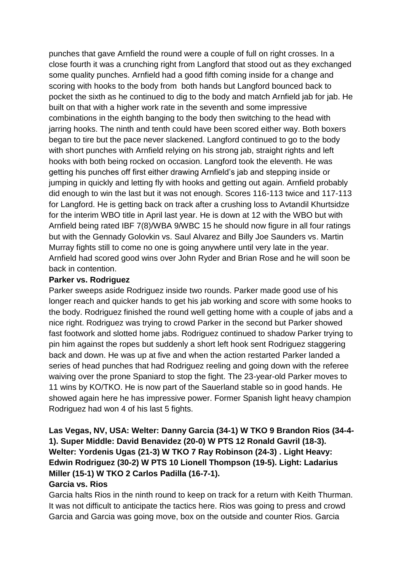punches that gave Arnfield the round were a couple of full on right crosses. In a close fourth it was a crunching right from Langford that stood out as they exchanged some quality punches. Arnfield had a good fifth coming inside for a change and scoring with hooks to the body from both hands but Langford bounced back to pocket the sixth as he continued to dig to the body and match Arnfield jab for jab. He built on that with a higher work rate in the seventh and some impressive combinations in the eighth banging to the body then switching to the head with jarring hooks. The ninth and tenth could have been scored either way. Both boxers began to tire but the pace never slackened. Langford continued to go to the body with short punches with Arnfield relying on his strong jab, straight rights and left hooks with both being rocked on occasion. Langford took the eleventh. He was getting his punches off first either drawing Arnfield's jab and stepping inside or jumping in quickly and letting fly with hooks and getting out again. Arnfield probably did enough to win the last but it was not enough. Scores 116-113 twice and 117-113 for Langford. He is getting back on track after a crushing loss to Avtandil Khurtsidze for the interim WBO title in April last year. He is down at 12 with the WBO but with Arnfield being rated IBF 7(8)/WBA 9/WBC 15 he should now figure in all four ratings but with the Gennady Golovkin vs. Saul Alvarez and Billy Joe Saunders vs. Martin Murray fights still to come no one is going anywhere until very late in the year. Arnfield had scored good wins over John Ryder and Brian Rose and he will soon be back in contention.

#### **Parker vs. Rodriguez**

Parker sweeps aside Rodriguez inside two rounds. Parker made good use of his longer reach and quicker hands to get his jab working and score with some hooks to the body. Rodriguez finished the round well getting home with a couple of jabs and a nice right. Rodriguez was trying to crowd Parker in the second but Parker showed fast footwork and slotted home jabs. Rodriguez continued to shadow Parker trying to pin him against the ropes but suddenly a short left hook sent Rodriguez staggering back and down. He was up at five and when the action restarted Parker landed a series of head punches that had Rodriguez reeling and going down with the referee waiving over the prone Spaniard to stop the fight. The 23-year-old Parker moves to 11 wins by KO/TKO. He is now part of the Sauerland stable so in good hands. He showed again here he has impressive power. Former Spanish light heavy champion Rodriguez had won 4 of his last 5 fights.

# **Las Vegas, NV, USA: Welter: Danny Garcia (34-1) W TKO 9 Brandon Rios (34-4- 1). Super Middle: David Benavidez (20-0) W PTS 12 Ronald Gavril (18-3). Welter: Yordenis Ugas (21-3) W TKO 7 Ray Robinson (24-3) . Light Heavy: Edwin Rodriguez (30-2) W PTS 10 Lionell Thompson (19-5). Light: Ladarius Miller (15-1) W TKO 2 Carlos Padilla (16-7-1). Garcia vs. Rios**

Garcia halts Rios in the ninth round to keep on track for a return with Keith Thurman. It was not difficult to anticipate the tactics here. Rios was going to press and crowd Garcia and Garcia was going move, box on the outside and counter Rios. Garcia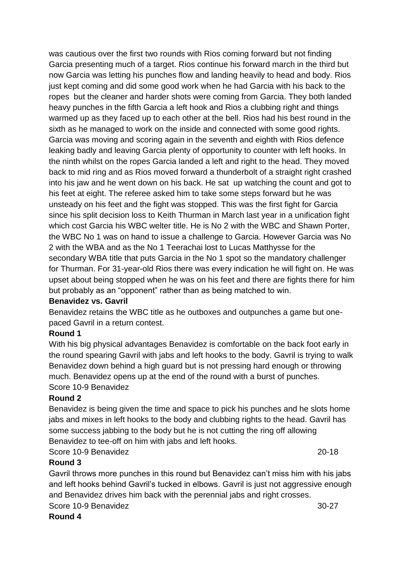was cautious over the first two rounds with Rios coming forward but not finding Garcia presenting much of a target. Rios continue his forward march in the third but now Garcia was letting his punches flow and landing heavily to head and body. Rios just kept coming and did some good work when he had Garcia with his back to the ropes but the cleaner and harder shots were coming from Garcia. They both landed heavy punches in the fifth Garcia a left hook and Rios a clubbing right and things warmed up as they faced up to each other at the bell. Rios had his best round in the sixth as he managed to work on the inside and connected with some good rights. Garcia was moving and scoring again in the seventh and eighth with Rios defence leaking badly and leaving Garcia plenty of opportunity to counter with left hooks. In the ninth whilst on the ropes Garcia landed a left and right to the head. They moved back to mid ring and as Rios moved forward a thunderbolt of a straight right crashed into his jaw and he went down on his back. He sat up watching the count and got to his feet at eight. The referee asked him to take some steps forward but he was unsteady on his feet and the fight was stopped. This was the first fight for Garcia since his split decision loss to Keith Thurman in March last year in a unification fight which cost Garcia his WBC welter title. He is No 2 with the WBC and Shawn Porter, the WBC No 1 was on hand to issue a challenge to Garcia. However Garcia was No 2 with the WBA and as the No 1 Teerachai lost to Lucas Matthysse for the secondary WBA title that puts Garcia in the No 1 spot so the mandatory challenger for Thurman. For 31-year-old Rios there was every indication he will fight on. He was upset about being stopped when he was on his feet and there are fights there for him but probably as an "opponent" rather than as being matched to win.

#### **Benavidez vs. Gavril**

Benavidez retains the WBC title as he outboxes and outpunches a game but onepaced Gavril in a return contest.

### **Round 1**

With his big physical advantages Benavidez is comfortable on the back foot early in the round spearing Gavril with jabs and left hooks to the body. Gavril is trying to walk Benavidez down behind a high guard but is not pressing hard enough or throwing much. Benavidez opens up at the end of the round with a burst of punches. Score 10-9 Benavidez

### **Round 2**

Benavidez is being given the time and space to pick his punches and he slots home jabs and mixes in left hooks to the body and clubbing rights to the head. Gavril has some success jabbing to the body but he is not cutting the ring off allowing Benavidez to tee-off on him with jabs and left hooks.

Score 10-9 Benavidez 20-18

### **Round 3**

Gavril throws more punches in this round but Benavidez can't miss him with his jabs and left hooks behind Gavril's tucked in elbows. Gavril is just not aggressive enough and Benavidez drives him back with the perennial jabs and right crosses. Score 10-9 Benavidez 30-27

#### **Round 4**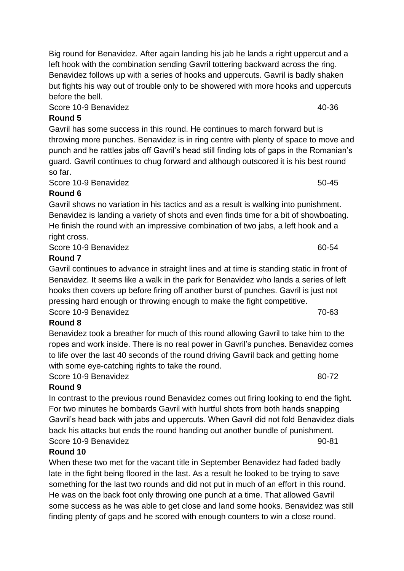Big round for Benavidez. After again landing his jab he lands a right uppercut and a left hook with the combination sending Gavril tottering backward across the ring. Benavidez follows up with a series of hooks and uppercuts. Gavril is badly shaken but fights his way out of trouble only to be showered with more hooks and uppercuts before the bell.

Score 10-9 Benavidez 40-36

# **Round 5**

Gavril has some success in this round. He continues to march forward but is throwing more punches. Benavidez is in ring centre with plenty of space to move and punch and he rattles jabs off Gavril's head still finding lots of gaps in the Romanian's guard. Gavril continues to chug forward and although outscored it is his best round so far.

Score 10-9 Benavidez 50-45

# **Round 6**

Gavril shows no variation in his tactics and as a result is walking into punishment. Benavidez is landing a variety of shots and even finds time for a bit of showboating. He finish the round with an impressive combination of two jabs, a left hook and a right cross.

Score 10-9 Benavidez 60-54

# **Round 7**

Gavril continues to advance in straight lines and at time is standing static in front of Benavidez. It seems like a walk in the park for Benavidez who lands a series of left hooks then covers up before firing off another burst of punches. Gavril is just not pressing hard enough or throwing enough to make the fight competitive. Score 10-9 Benavidez **70-63** 

# **Round 8**

Benavidez took a breather for much of this round allowing Gavril to take him to the ropes and work inside. There is no real power in Gavril's punches. Benavidez comes to life over the last 40 seconds of the round driving Gavril back and getting home with some eye-catching rights to take the round.

Score 10-9 Benavidez 80-72

# **Round 9**

In contrast to the previous round Benavidez comes out firing looking to end the fight. For two minutes he bombards Gavril with hurtful shots from both hands snapping Gavril's head back with jabs and uppercuts. When Gavril did not fold Benavidez dials back his attacks but ends the round handing out another bundle of punishment. Score 10-9 Benavidez 90-81

# **Round 10**

When these two met for the vacant title in September Benavidez had faded badly late in the fight being floored in the last. As a result he looked to be trying to save something for the last two rounds and did not put in much of an effort in this round. He was on the back foot only throwing one punch at a time. That allowed Gavril some success as he was able to get close and land some hooks. Benavidez was still finding plenty of gaps and he scored with enough counters to win a close round.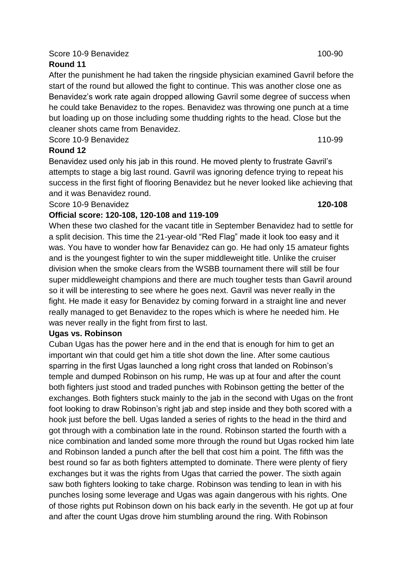### Score 10-9 Benavidez 100-90

# **Round 11**

After the punishment he had taken the ringside physician examined Gavril before the start of the round but allowed the fight to continue. This was another close one as Benavidez's work rate again dropped allowing Gavril some degree of success when he could take Benavidez to the ropes. Benavidez was throwing one punch at a time but loading up on those including some thudding rights to the head. Close but the cleaner shots came from Benavidez.

Score 10-9 Benavidez 2008 110-99

# **Round 12**

Benavidez used only his jab in this round. He moved plenty to frustrate Gavril's attempts to stage a big last round. Gavril was ignoring defence trying to repeat his success in the first fight of flooring Benavidez but he never looked like achieving that and it was Benavidez round.

Score 10-9 Benavidez **120-108**

### **Official score: 120-108, 120-108 and 119-109**

When these two clashed for the vacant title in September Benavidez had to settle for a split decision. This time the 21-year-old "Red Flag" made it look too easy and it was. You have to wonder how far Benavidez can go. He had only 15 amateur fights and is the youngest fighter to win the super middleweight title. Unlike the cruiser division when the smoke clears from the WSBB tournament there will still be four super middleweight champions and there are much tougher tests than Gavril around so it will be interesting to see where he goes next. Gavril was never really in the fight. He made it easy for Benavidez by coming forward in a straight line and never really managed to get Benavidez to the ropes which is where he needed him. He was never really in the fight from first to last.

### **Ugas vs. Robinson**

Cuban Ugas has the power here and in the end that is enough for him to get an important win that could get him a title shot down the line. After some cautious sparring in the first Ugas launched a long right cross that landed on Robinson's temple and dumped Robinson on his rump, He was up at four and after the count both fighters just stood and traded punches with Robinson getting the better of the exchanges. Both fighters stuck mainly to the jab in the second with Ugas on the front foot looking to draw Robinson's right jab and step inside and they both scored with a hook just before the bell. Ugas landed a series of rights to the head in the third and got through with a combination late in the round. Robinson started the fourth with a nice combination and landed some more through the round but Ugas rocked him late and Robinson landed a punch after the bell that cost him a point. The fifth was the best round so far as both fighters attempted to dominate. There were plenty of fiery exchanges but it was the rights from Ugas that carried the power. The sixth again saw both fighters looking to take charge. Robinson was tending to lean in with his punches losing some leverage and Ugas was again dangerous with his rights. One of those rights put Robinson down on his back early in the seventh. He got up at four and after the count Ugas drove him stumbling around the ring. With Robinson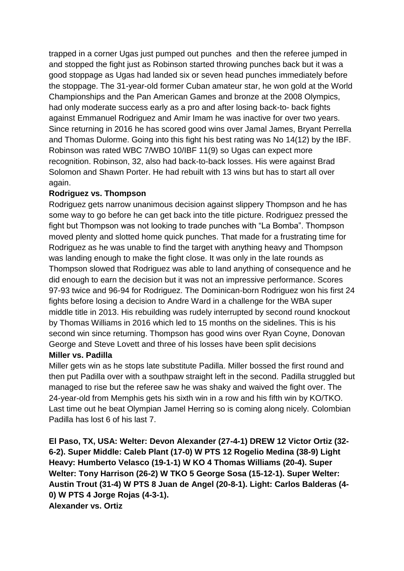trapped in a corner Ugas just pumped out punches and then the referee jumped in and stopped the fight just as Robinson started throwing punches back but it was a good stoppage as Ugas had landed six or seven head punches immediately before the stoppage. The 31-year-old former Cuban amateur star, he won gold at the World Championships and the Pan American Games and bronze at the 2008 Olympics, had only moderate success early as a pro and after losing back-to- back fights against Emmanuel Rodriguez and Amir Imam he was inactive for over two years. Since returning in 2016 he has scored good wins over Jamal James, Bryant Perrella and Thomas Dulorme. Going into this fight his best rating was No 14(12) by the IBF. Robinson was rated WBC 7/WBO 10/IBF 11(9) so Ugas can expect more recognition. Robinson, 32, also had back-to-back losses. His were against Brad Solomon and Shawn Porter. He had rebuilt with 13 wins but has to start all over again.

# **Rodriguez vs. Thompson**

Rodriguez gets narrow unanimous decision against slippery Thompson and he has some way to go before he can get back into the title picture. Rodriguez pressed the fight but Thompson was not looking to trade punches with "La Bomba". Thompson moved plenty and slotted home quick punches. That made for a frustrating time for Rodriguez as he was unable to find the target with anything heavy and Thompson was landing enough to make the fight close. It was only in the late rounds as Thompson slowed that Rodriguez was able to land anything of consequence and he did enough to earn the decision but it was not an impressive performance. Scores 97-93 twice and 96-94 for Rodriguez. The Dominican-born Rodriguez won his first 24 fights before losing a decision to Andre Ward in a challenge for the WBA super middle title in 2013. His rebuilding was rudely interrupted by second round knockout by Thomas Williams in 2016 which led to 15 months on the sidelines. This is his second win since returning. Thompson has good wins over Ryan Coyne, Donovan George and Steve Lovett and three of his losses have been split decisions **Miller vs. Padilla**

Miller gets win as he stops late substitute Padilla. Miller bossed the first round and then put Padilla over with a southpaw straight left in the second. Padilla struggled but managed to rise but the referee saw he was shaky and waived the fight over. The 24-year-old from Memphis gets his sixth win in a row and his fifth win by KO/TKO. Last time out he beat Olympian Jamel Herring so is coming along nicely. Colombian Padilla has lost 6 of his last 7.

**El Paso, TX, USA: Welter: Devon Alexander (27-4-1) DREW 12 Victor Ortiz (32- 6-2). Super Middle: Caleb Plant (17-0) W PTS 12 Rogelio Medina (38-9) Light Heavy: Humberto Velasco (19-1-1) W KO 4 Thomas Williams (20-4). Super Welter: Tony Harrison (26-2) W TKO 5 George Sosa (15-12-1). Super Welter: Austin Trout (31-4) W PTS 8 Juan de Angel (20-8-1). Light: Carlos Balderas (4- 0) W PTS 4 Jorge Rojas (4-3-1). Alexander vs. Ortiz**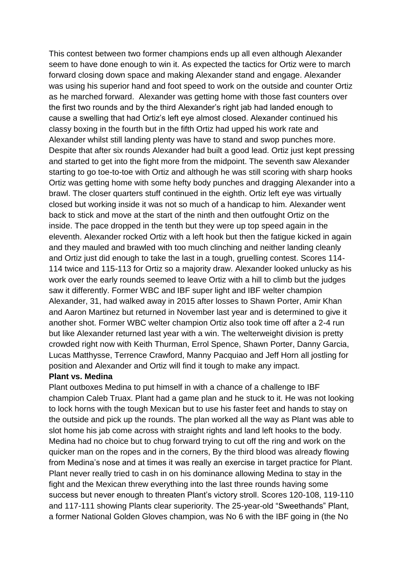This contest between two former champions ends up all even although Alexander seem to have done enough to win it. As expected the tactics for Ortiz were to march forward closing down space and making Alexander stand and engage. Alexander was using his superior hand and foot speed to work on the outside and counter Ortiz as he marched forward. Alexander was getting home with those fast counters over the first two rounds and by the third Alexander's right jab had landed enough to cause a swelling that had Ortiz's left eye almost closed. Alexander continued his classy boxing in the fourth but in the fifth Ortiz had upped his work rate and Alexander whilst still landing plenty was have to stand and swop punches more. Despite that after six rounds Alexander had built a good lead. Ortiz just kept pressing and started to get into the fight more from the midpoint. The seventh saw Alexander starting to go toe-to-toe with Ortiz and although he was still scoring with sharp hooks Ortiz was getting home with some hefty body punches and dragging Alexander into a brawl. The closer quarters stuff continued in the eighth. Ortiz left eye was virtually closed but working inside it was not so much of a handicap to him. Alexander went back to stick and move at the start of the ninth and then outfought Ortiz on the inside. The pace dropped in the tenth but they were up top speed again in the eleventh. Alexander rocked Ortiz with a left hook but then the fatigue kicked in again and they mauled and brawled with too much clinching and neither landing cleanly and Ortiz just did enough to take the last in a tough, gruelling contest. Scores 114- 114 twice and 115-113 for Ortiz so a majority draw. Alexander looked unlucky as his work over the early rounds seemed to leave Ortiz with a hill to climb but the judges saw it differently. Former WBC and IBF super light and IBF welter champion Alexander, 31, had walked away in 2015 after losses to Shawn Porter, Amir Khan and Aaron Martinez but returned in November last year and is determined to give it another shot. Former WBC welter champion Ortiz also took time off after a 2-4 run but like Alexander returned last year with a win. The welterweight division is pretty crowded right now with Keith Thurman, Errol Spence, Shawn Porter, Danny Garcia, Lucas Matthysse, Terrence Crawford, Manny Pacquiao and Jeff Horn all jostling for position and Alexander and Ortiz will find it tough to make any impact.

#### **Plant vs. Medina**

Plant outboxes Medina to put himself in with a chance of a challenge to IBF champion Caleb Truax. Plant had a game plan and he stuck to it. He was not looking to lock horns with the tough Mexican but to use his faster feet and hands to stay on the outside and pick up the rounds. The plan worked all the way as Plant was able to slot home his jab come across with straight rights and land left hooks to the body. Medina had no choice but to chug forward trying to cut off the ring and work on the quicker man on the ropes and in the corners, By the third blood was already flowing from Medina's nose and at times it was really an exercise in target practice for Plant. Plant never really tried to cash in on his dominance allowing Medina to stay in the fight and the Mexican threw everything into the last three rounds having some success but never enough to threaten Plant's victory stroll. Scores 120-108, 119-110 and 117-111 showing Plants clear superiority. The 25-year-old "Sweethands" Plant, a former National Golden Gloves champion, was No 6 with the IBF going in (the No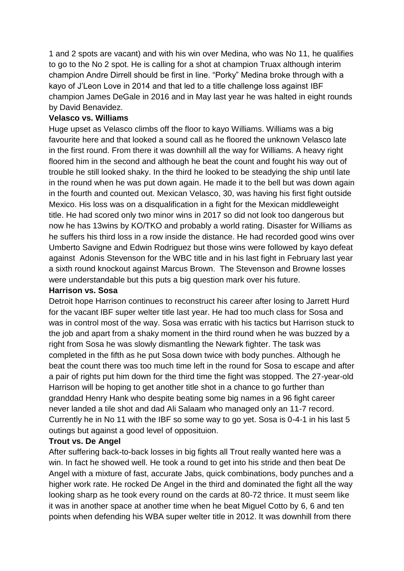1 and 2 spots are vacant) and with his win over Medina, who was No 11, he qualifies to go to the No 2 spot. He is calling for a shot at champion Truax although interim champion Andre Dirrell should be first in line. "Porky" Medina broke through with a kayo of J'Leon Love in 2014 and that led to a title challenge loss against IBF champion James DeGale in 2016 and in May last year he was halted in eight rounds by David Benavidez.

#### **Velasco vs. Williams**

Huge upset as Velasco climbs off the floor to kayo Williams. Williams was a big favourite here and that looked a sound call as he floored the unknown Velasco late in the first round. From there it was downhill all the way for Williams. A heavy right floored him in the second and although he beat the count and fought his way out of trouble he still looked shaky. In the third he looked to be steadying the ship until late in the round when he was put down again. He made it to the bell but was down again in the fourth and counted out. Mexican Velasco, 30, was having his first fight outside Mexico. His loss was on a disqualification in a fight for the Mexican middleweight title. He had scored only two minor wins in 2017 so did not look too dangerous but now he has 13wins by KO/TKO and probably a world rating. Disaster for Williams as he suffers his third loss in a row inside the distance. He had recorded good wins over Umberto Savigne and Edwin Rodriguez but those wins were followed by kayo defeat against Adonis Stevenson for the WBC title and in his last fight in February last year a sixth round knockout against Marcus Brown. The Stevenson and Browne losses were understandable but this puts a big question mark over his future.

#### **Harrison vs. Sosa**

Detroit hope Harrison continues to reconstruct his career after losing to Jarrett Hurd for the vacant IBF super welter title last year. He had too much class for Sosa and was in control most of the way. Sosa was erratic with his tactics but Harrison stuck to the job and apart from a shaky moment in the third round when he was buzzed by a right from Sosa he was slowly dismantling the Newark fighter. The task was completed in the fifth as he put Sosa down twice with body punches. Although he beat the count there was too much time left in the round for Sosa to escape and after a pair of rights put him down for the third time the fight was stopped. The 27-year-old Harrison will be hoping to get another title shot in a chance to go further than granddad Henry Hank who despite beating some big names in a 96 fight career never landed a tile shot and dad Ali Salaam who managed only an 11-7 record. Currently he in No 11 with the IBF so some way to go yet. Sosa is 0-4-1 in his last 5 outings but against a good level of opposituion.

### **Trout vs. De Angel**

After suffering back-to-back losses in big fights all Trout really wanted here was a win. In fact he showed well. He took a round to get into his stride and then beat De Angel with a mixture of fast, accurate Jabs, quick combinations, body punches and a higher work rate. He rocked De Angel in the third and dominated the fight all the way looking sharp as he took every round on the cards at 80-72 thrice. It must seem like it was in another space at another time when he beat Miguel Cotto by 6, 6 and ten points when defending his WBA super welter title in 2012. It was downhill from there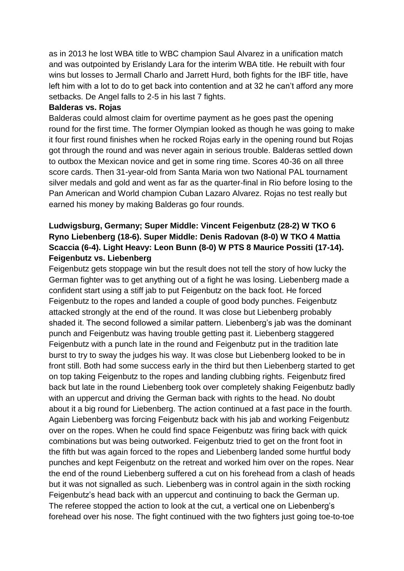as in 2013 he lost WBA title to WBC champion Saul Alvarez in a unification match and was outpointed by Erislandy Lara for the interim WBA title. He rebuilt with four wins but losses to Jermall Charlo and Jarrett Hurd, both fights for the IBF title, have left him with a lot to do to get back into contention and at 32 he can't afford any more setbacks. De Angel falls to 2-5 in his last 7 fights.

#### **Balderas vs. Rojas**

Balderas could almost claim for overtime payment as he goes past the opening round for the first time. The former Olympian looked as though he was going to make it four first round finishes when he rocked Rojas early in the opening round but Rojas got through the round and was never again in serious trouble. Balderas settled down to outbox the Mexican novice and get in some ring time. Scores 40-36 on all three score cards. Then 31-year-old from Santa Maria won two National PAL tournament silver medals and gold and went as far as the quarter-final in Rio before losing to the Pan American and World champion Cuban Lazaro Alvarez. Rojas no test really but earned his money by making Balderas go four rounds.

# **Ludwigsburg, Germany; Super Middle: Vincent Feigenbutz (28-2) W TKO 6 Ryno Liebenberg (18-6). Super Middle: Denis Radovan (8-0) W TKO 4 Mattia Scaccia (6-4). Light Heavy: Leon Bunn (8-0) W PTS 8 Maurice Possiti (17-14). Feigenbutz vs. Liebenberg**

Feigenbutz gets stoppage win but the result does not tell the story of how lucky the German fighter was to get anything out of a fight he was losing. Liebenberg made a confident start using a stiff jab to put Feigenbutz on the back foot. He forced Feigenbutz to the ropes and landed a couple of good body punches. Feigenbutz attacked strongly at the end of the round. It was close but Liebenberg probably shaded it. The second followed a similar pattern. Liebenberg's jab was the dominant punch and Feigenbutz was having trouble getting past it. Liebenberg staggered Feigenbutz with a punch late in the round and Feigenbutz put in the tradition late burst to try to sway the judges his way. It was close but Liebenberg looked to be in front still. Both had some success early in the third but then Liebenberg started to get on top taking Feigenbutz to the ropes and landing clubbing rights. Feigenbutz fired back but late in the round Liebenberg took over completely shaking Feigenbutz badly with an uppercut and driving the German back with rights to the head. No doubt about it a big round for Liebenberg. The action continued at a fast pace in the fourth. Again Liebenberg was forcing Feigenbutz back with his jab and working Feigenbutz over on the ropes. When he could find space Feigenbutz was firing back with quick combinations but was being outworked. Feigenbutz tried to get on the front foot in the fifth but was again forced to the ropes and Liebenberg landed some hurtful body punches and kept Feigenbutz on the retreat and worked him over on the ropes. Near the end of the round Liebenberg suffered a cut on his forehead from a clash of heads but it was not signalled as such. Liebenberg was in control again in the sixth rocking Feigenbutz's head back with an uppercut and continuing to back the German up. The referee stopped the action to look at the cut, a vertical one on Liebenberg's forehead over his nose. The fight continued with the two fighters just going toe-to-toe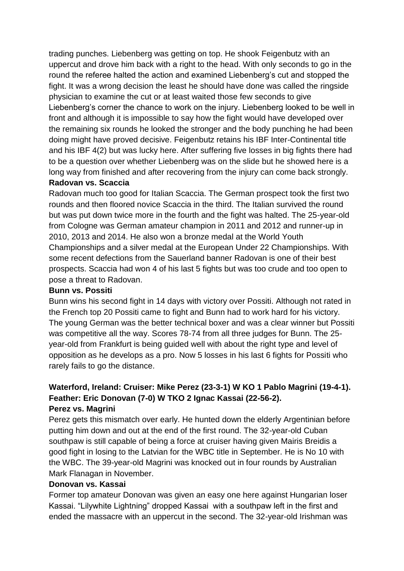trading punches. Liebenberg was getting on top. He shook Feigenbutz with an uppercut and drove him back with a right to the head. With only seconds to go in the round the referee halted the action and examined Liebenberg's cut and stopped the fight. It was a wrong decision the least he should have done was called the ringside physician to examine the cut or at least waited those few seconds to give Liebenberg's corner the chance to work on the injury. Liebenberg looked to be well in front and although it is impossible to say how the fight would have developed over the remaining six rounds he looked the stronger and the body punching he had been doing might have proved decisive. Feigenbutz retains his IBF Inter-Continental title and his IBF 4(2) but was lucky here. After suffering five losses in big fights there had to be a question over whether Liebenberg was on the slide but he showed here is a long way from finished and after recovering from the injury can come back strongly.

# **Radovan vs. Scaccia**

Radovan much too good for Italian Scaccia. The German prospect took the first two rounds and then floored novice Scaccia in the third. The Italian survived the round but was put down twice more in the fourth and the fight was halted. The 25-year-old from Cologne was German amateur champion in 2011 and 2012 and runner-up in 2010, 2013 and 2014. He also won a bronze medal at the World Youth Championships and a silver medal at the European Under 22 Championships. With some recent defections from the Sauerland banner Radovan is one of their best prospects. Scaccia had won 4 of his last 5 fights but was too crude and too open to pose a threat to Radovan.

#### **Bunn vs. Possiti**

Bunn wins his second fight in 14 days with victory over Possiti. Although not rated in the French top 20 Possiti came to fight and Bunn had to work hard for his victory. The young German was the better technical boxer and was a clear winner but Possiti was competitive all the way. Scores 78-74 from all three judges for Bunn. The 25 year-old from Frankfurt is being guided well with about the right type and level of opposition as he develops as a pro. Now 5 losses in his last 6 fights for Possiti who rarely fails to go the distance.

### **Waterford, Ireland: Cruiser: Mike Perez (23-3-1) W KO 1 Pablo Magrini (19-4-1). Feather: Eric Donovan (7-0) W TKO 2 Ignac Kassai (22-56-2). Perez vs. Magrini**

Perez gets this mismatch over early. He hunted down the elderly Argentinian before putting him down and out at the end of the first round. The 32-year-old Cuban southpaw is still capable of being a force at cruiser having given Mairis Breidis a good fight in losing to the Latvian for the WBC title in September. He is No 10 with the WBC. The 39-year-old Magrini was knocked out in four rounds by Australian Mark Flanagan in November.

### **Donovan vs. Kassai**

Former top amateur Donovan was given an easy one here against Hungarian loser Kassai. "Lilywhite Lightning" dropped Kassai with a southpaw left in the first and ended the massacre with an uppercut in the second. The 32-year-old Irishman was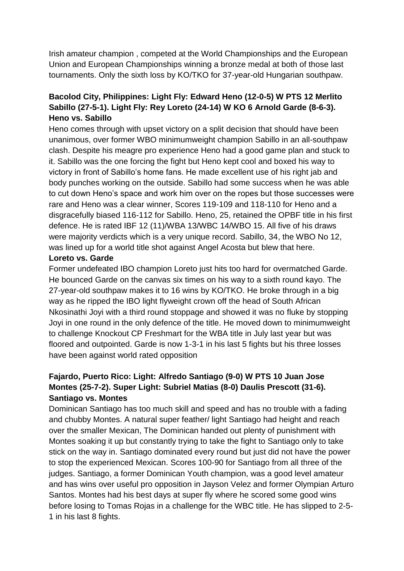Irish amateur champion , competed at the World Championships and the European Union and European Championships winning a bronze medal at both of those last tournaments. Only the sixth loss by KO/TKO for 37-year-old Hungarian southpaw.

# **Bacolod City, Philippines: Light Fly: Edward Heno (12-0-5) W PTS 12 Merlito Sabillo (27-5-1). Light Fly: Rey Loreto (24-14) W KO 6 Arnold Garde (8-6-3). Heno vs. Sabillo**

Heno comes through with upset victory on a split decision that should have been unanimous, over former WBO minimumweight champion Sabillo in an all-southpaw clash. Despite his meagre pro experience Heno had a good game plan and stuck to it. Sabillo was the one forcing the fight but Heno kept cool and boxed his way to victory in front of Sabillo's home fans. He made excellent use of his right jab and body punches working on the outside. Sabillo had some success when he was able to cut down Heno's space and work him over on the ropes but those successes were rare and Heno was a clear winner, Scores 119-109 and 118-110 for Heno and a disgracefully biased 116-112 for Sabillo. Heno, 25, retained the OPBF title in his first defence. He is rated IBF 12 (11)/WBA 13/WBC 14/WBO 15. All five of his draws were majority verdicts which is a very unique record. Sabillo, 34, the WBO No 12, was lined up for a world title shot against Angel Acosta but blew that here.

#### **Loreto vs. Garde**

Former undefeated IBO champion Loreto just hits too hard for overmatched Garde. He bounced Garde on the canvas six times on his way to a sixth round kayo. The 27-year-old southpaw makes it to 16 wins by KO/TKO. He broke through in a big way as he ripped the IBO light flyweight crown off the head of South African Nkosinathi Joyi with a third round stoppage and showed it was no fluke by stopping Joyi in one round in the only defence of the title. He moved down to minimumweight to challenge Knockout CP Freshmart for the WBA title in July last year but was floored and outpointed. Garde is now 1-3-1 in his last 5 fights but his three losses have been against world rated opposition

# **Fajardo, Puerto Rico: Light: Alfredo Santiago (9-0) W PTS 10 Juan Jose Montes (25-7-2). Super Light: Subriel Matias (8-0) Daulis Prescott (31-6). Santiago vs. Montes**

Dominican Santiago has too much skill and speed and has no trouble with a fading and chubby Montes. A natural super feather/ light Santiago had height and reach over the smaller Mexican, The Dominican handed out plenty of punishment with Montes soaking it up but constantly trying to take the fight to Santiago only to take stick on the way in. Santiago dominated every round but just did not have the power to stop the experienced Mexican. Scores 100-90 for Santiago from all three of the judges. Santiago, a former Dominican Youth champion, was a good level amateur and has wins over useful pro opposition in Jayson Velez and former Olympian Arturo Santos. Montes had his best days at super fly where he scored some good wins before losing to Tomas Rojas in a challenge for the WBC title. He has slipped to 2-5- 1 in his last 8 fights.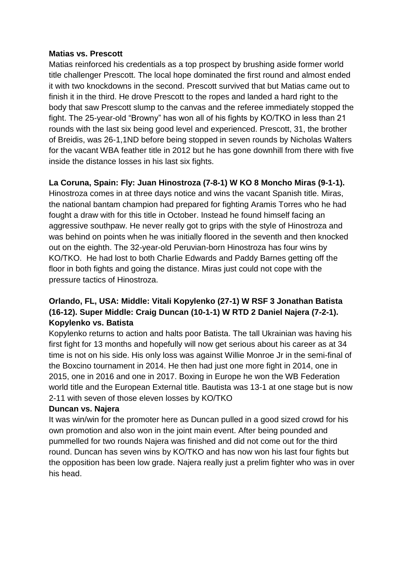#### **Matias vs. Prescott**

Matias reinforced his credentials as a top prospect by brushing aside former world title challenger Prescott. The local hope dominated the first round and almost ended it with two knockdowns in the second. Prescott survived that but Matias came out to finish it in the third. He drove Prescott to the ropes and landed a hard right to the body that saw Prescott slump to the canvas and the referee immediately stopped the fight. The 25-year-old "Browny" has won all of his fights by KO/TKO in less than 21 rounds with the last six being good level and experienced. Prescott, 31, the brother of Breidis, was 26-1,1ND before being stopped in seven rounds by Nicholas Walters for the vacant WBA feather title in 2012 but he has gone downhill from there with five inside the distance losses in his last six fights.

# **La Coruna, Spain: Fly: Juan Hinostroza (7-8-1) W KO 8 Moncho Miras (9-1-1).**

Hinostroza comes in at three days notice and wins the vacant Spanish title. Miras, the national bantam champion had prepared for fighting Aramis Torres who he had fought a draw with for this title in October. Instead he found himself facing an aggressive southpaw. He never really got to grips with the style of Hinostroza and was behind on points when he was initially floored in the seventh and then knocked out on the eighth. The 32-year-old Peruvian-born Hinostroza has four wins by KO/TKO. He had lost to both Charlie Edwards and Paddy Barnes getting off the floor in both fights and going the distance. Miras just could not cope with the pressure tactics of Hinostroza.

# **Orlando, FL, USA: Middle: Vitali Kopylenko (27-1) W RSF 3 Jonathan Batista (16-12). Super Middle: Craig Duncan (10-1-1) W RTD 2 Daniel Najera (7-2-1). Kopylenko vs. Batista**

Kopylenko returns to action and halts poor Batista. The tall Ukrainian was having his first fight for 13 months and hopefully will now get serious about his career as at 34 time is not on his side. His only loss was against Willie Monroe Jr in the semi-final of the Boxcino tournament in 2014. He then had just one more fight in 2014, one in 2015, one in 2016 and one in 2017. Boxing in Europe he won the WB Federation world title and the European External title. Bautista was 13-1 at one stage but is now 2-11 with seven of those eleven losses by KO/TKO

### **Duncan vs. Najera**

It was win/win for the promoter here as Duncan pulled in a good sized crowd for his own promotion and also won in the joint main event. After being pounded and pummelled for two rounds Najera was finished and did not come out for the third round. Duncan has seven wins by KO/TKO and has now won his last four fights but the opposition has been low grade. Najera really just a prelim fighter who was in over his head.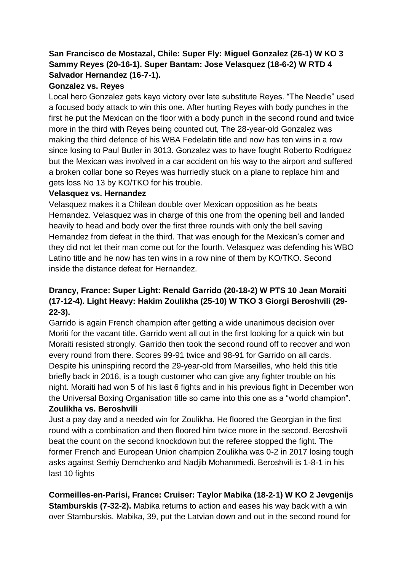# **San Francisco de Mostazal, Chile: Super Fly: Miguel Gonzalez (26-1) W KO 3 Sammy Reyes (20-16-1). Super Bantam: Jose Velasquez (18-6-2) W RTD 4 Salvador Hernandez (16-7-1).**

# **Gonzalez vs. Reyes**

Local hero Gonzalez gets kayo victory over late substitute Reyes. "The Needle" used a focused body attack to win this one. After hurting Reyes with body punches in the first he put the Mexican on the floor with a body punch in the second round and twice more in the third with Reyes being counted out, The 28-year-old Gonzalez was making the third defence of his WBA Fedelatin title and now has ten wins in a row since losing to Paul Butler in 3013. Gonzalez was to have fought Roberto Rodriguez but the Mexican was involved in a car accident on his way to the airport and suffered a broken collar bone so Reyes was hurriedly stuck on a plane to replace him and gets loss No 13 by KO/TKO for his trouble.

# **Velasquez vs. Hernandez**

Velasquez makes it a Chilean double over Mexican opposition as he beats Hernandez. Velasquez was in charge of this one from the opening bell and landed heavily to head and body over the first three rounds with only the bell saving Hernandez from defeat in the third. That was enough for the Mexican's corner and they did not let their man come out for the fourth. Velasquez was defending his WBO Latino title and he now has ten wins in a row nine of them by KO/TKO. Second inside the distance defeat for Hernandez.

# **Drancy, France: Super Light: Renald Garrido (20-18-2) W PTS 10 Jean Moraiti (17-12-4). Light Heavy: Hakim Zoulikha (25-10) W TKO 3 Giorgi Beroshvili (29- 22-3).**

Garrido is again French champion after getting a wide unanimous decision over Moriti for the vacant title. Garrido went all out in the first looking for a quick win but Moraiti resisted strongly. Garrido then took the second round off to recover and won every round from there. Scores 99-91 twice and 98-91 for Garrido on all cards. Despite his uninspiring record the 29-year-old from Marseilles, who held this title briefly back in 2016, is a tough customer who can give any fighter trouble on his night. Moraiti had won 5 of his last 6 fights and in his previous fight in December won the Universal Boxing Organisation title so came into this one as a "world champion". **Zoulikha vs. Beroshvili**

Just a pay day and a needed win for Zoulikha. He floored the Georgian in the first round with a combination and then floored him twice more in the second. Beroshvili beat the count on the second knockdown but the referee stopped the fight. The former French and European Union champion Zoulikha was 0-2 in 2017 losing tough asks against Serhiy Demchenko and Nadjib Mohammedi. Beroshvili is 1-8-1 in his last 10 fights

**Cormeilles-en-Parisi, France: Cruiser: Taylor Mabika (18-2-1) W KO 2 Jevgenijs Stamburskis (7-32-2).** Mabika returns to action and eases his way back with a win over Stamburskis. Mabika, 39, put the Latvian down and out in the second round for